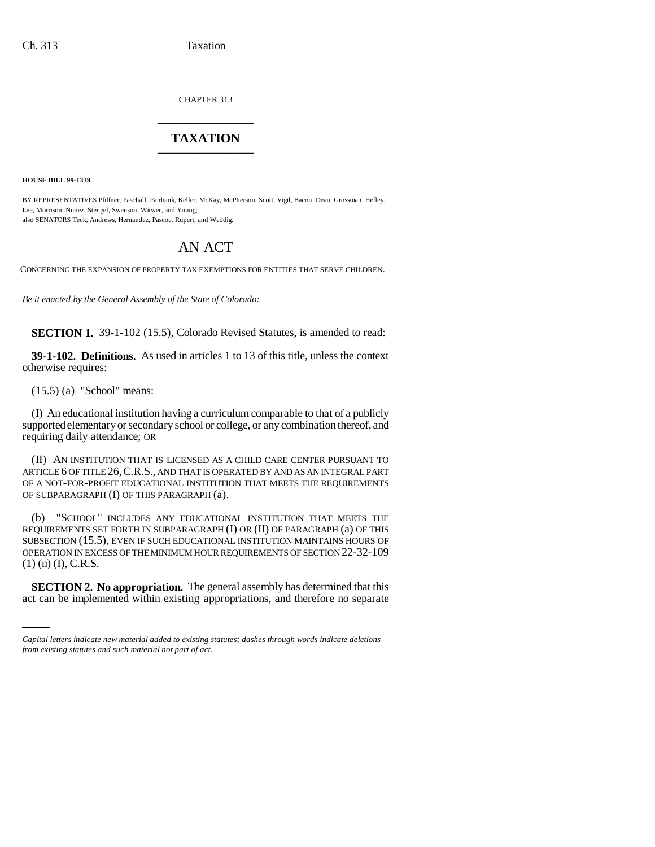CHAPTER 313 \_\_\_\_\_\_\_\_\_\_\_\_\_\_\_

## **TAXATION** \_\_\_\_\_\_\_\_\_\_\_\_\_\_\_

**HOUSE BILL 99-1339** 

BY REPRESENTATIVES Pfiffner, Paschall, Fairbank, Keller, McKay, McPherson, Scott, Vigil, Bacon, Dean, Grossman, Hefley, Lee, Morrison, Nunez, Stengel, Swenson, Witwer, and Young; also SENATORS Teck, Andrews, Hernandez, Pascoe, Rupert, and Weddig.

## AN ACT

CONCERNING THE EXPANSION OF PROPERTY TAX EXEMPTIONS FOR ENTITIES THAT SERVE CHILDREN.

*Be it enacted by the General Assembly of the State of Colorado:*

**SECTION 1.** 39-1-102 (15.5), Colorado Revised Statutes, is amended to read:

**39-1-102. Definitions.** As used in articles 1 to 13 of this title, unless the context otherwise requires:

(15.5) (a) "School" means:

(I) An educational institution having a curriculum comparable to that of a publicly supported elementary or secondary school or college, or any combination thereof, and requiring daily attendance; OR

(II) AN INSTITUTION THAT IS LICENSED AS A CHILD CARE CENTER PURSUANT TO ARTICLE 6 OF TITLE 26,C.R.S., AND THAT IS OPERATED BY AND AS AN INTEGRAL PART OF A NOT-FOR-PROFIT EDUCATIONAL INSTITUTION THAT MEETS THE REQUIREMENTS OF SUBPARAGRAPH (I) OF THIS PARAGRAPH (a).

(1) (n) (I), C.R.S. (b) "SCHOOL" INCLUDES ANY EDUCATIONAL INSTITUTION THAT MEETS THE REQUIREMENTS SET FORTH IN SUBPARAGRAPH (I) OR (II) OF PARAGRAPH (a) OF THIS SUBSECTION (15.5), EVEN IF SUCH EDUCATIONAL INSTITUTION MAINTAINS HOURS OF OPERATION IN EXCESS OF THE MINIMUM HOUR REQUIREMENTS OF SECTION 22-32-109

**SECTION 2. No appropriation.** The general assembly has determined that this act can be implemented within existing appropriations, and therefore no separate

*Capital letters indicate new material added to existing statutes; dashes through words indicate deletions from existing statutes and such material not part of act.*